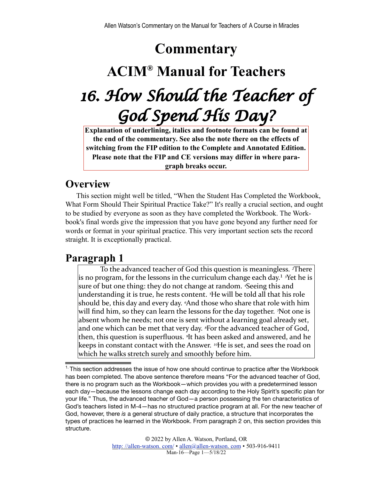## **Commentary**

# **ACIM® Manual for Teachers**

# *16. How Should the Teacher of God Spend His Day?*

**Explanation of underlining, italics and footnote formats can be found at the end of the commentary. See also the note there on the effects of switching from the FIP edition to the Complete and Annotated Edition. Please note that the FIP and CE versions may differ in where paragraph breaks occur.**

## **Overview**

This section might well be titled, "When the Student Has Completed the Workbook, What Form Should Their Spiritual Practice Take?" It's really a crucial section, and ought to be studied by everyone as soon as they have completed the Workbook. The Workbook's final words give the impression that you have gone beyond any further need for words or format in your spiritual practice. This very important section sets the record straight. It is exceptionally practical.

## **Paragraph 1**

<span id="page-0-1"></span>To the advanced teacher of God this question is meaningless. <sup>2</sup>There is no program, for the lessons in the curriculum change each day.<sup>1</sup> <sup>*3*Yet he is</sup> sure of but one thing: they do not change at random. *Seeing this and* understanding it is true, he rests content. <sup>5</sup>He will be told all that his role should be, this day and every day. <sup>*«*And those who share that role with him</sup> will find him, so they can learn the lessons for the day together. *Not* one is absent whom he needs; not one is sent without a learning goal already set, and one which can be met that very day. <sup>*8*For the advanced teacher of God,</sup> then, this question is superfluous. <sup>9</sup>It has been asked and answered, and he keeps in constant contact with the Answer. <sup>10</sup>He is set, and sees the road on which he walks stretch surely and smoothly before him.

<span id="page-0-0"></span> $1$ . This section addresses the issue of how one should continue to practice after the Workbook has been completed. The above sentence therefore means "For the advanced teacher of God, there is no program such as the Workbook—which provides you with a predetermined lesson each day—because the lessons change each day according to the Holy Spirit's specific plan for your life." Thus, the advanced teacher of God—a person possessing the ten characteristics of God's teachers listed in M-4—has no structured practice program at all. For the new teacher of God, however, there *is* a general structure of daily practice, a structure that incorporates the types of practices he learned in the Workbook. From paragraph 2 on, this section provides this structure.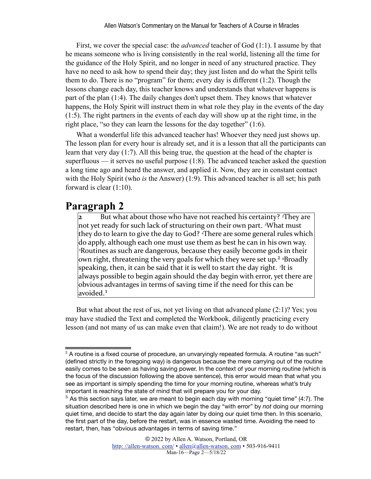First, we cover the special case: the *advanced* teacher of God (1:1). I assume by that he means someone who is living consistently in the real world, listening all the time for the guidance of the Holy Spirit, and no longer in need of any structured practice. They have no need to ask how to spend their day; they just listen and do what the Spirit tells them to do. There is no "program" for them; every day is different (1:2). Though the lessons change each day, this teacher knows and understands that whatever happens is part of the plan (1:4). The daily changes don't upset them. They knows that whatever happens, the Holy Spirit will instruct them in what role they play in the events of the day (1:5). The right partners in the events of each day will show up at the right time, in the right place, "so they can learn the lessons for the day together" (1:6).

What a wonderful life this advanced teacher has! Whoever they need just shows up. The lesson plan for every hour is already set, and it is a lesson that all the participants can learn that very day (1:7). All this being true, the question at the head of the chapter is superfluous — it serves no useful purpose (1:8). The advanced teacher asked the question a long time ago and heard the answer, and applied it. Now, they are in constant contact with the Holy Spirit (who *is* the Answer) (1:9). This advanced teacher is all set; his path forward is clear (1:10).

#### **Paragraph 2**

<span id="page-1-2"></span>**2** But what about those who have not reached his certainty? *<sup>2</sup>*They are not yet ready for such lack of structuring on their own part. <sup>3</sup>What must they do to learn to give the day to God? <sup>4</sup>There are some general rules which do apply, although each one must use them as best he can in his own way. <sup>*I*</sup>Routines as such are dangerous, because they easily become gods in their own right, threatening the very goals for which they were set up.<sup>2</sup> <sup>*6*Broadly</sup> speaking, then, it can be said that it is well to start the day right. <sup>7</sup>It is always possible to begin again should the day begin with error, yet there are obvious advantages in terms of saving time if the need for this can be avoided.<sup>3</sup>

<span id="page-1-3"></span>But what about the rest of us, not yet living on that advanced plane (2:1)? Yes; you may have studied the Text and completed the Workbook, diligently practicing every lesson (and not many of us can make even that claim!). We are not ready to do without

<span id="page-1-0"></span> $2$ . A routine is a fixed course of procedure, an unvaryingly repeated formula. A routine "as such" (defined strictly in the foregoing way) is dangerous because the mere carrying out of the routine easily comes to be seen as having saving power. In the context of your morning routine (which is the focus of the discussion following the above sentence), this error would mean that what you see as important is simply spending the time for your morning routine, whereas what's truly important is reaching the state of mind that will prepare you for your day.

<span id="page-1-1"></span> $3.$  As this section says later, we are meant to begin each day with morning "quiet time" (4:7). The situation described here is one in which we begin the day "with error" by *not* doing our morning quiet time, and decide to start the day again later by doing our quiet time then. In this scenario, the first part of the day, before the restart, was in essence wasted time. Avoiding the need to restart, then, has "obvious advantages in terms of saving time."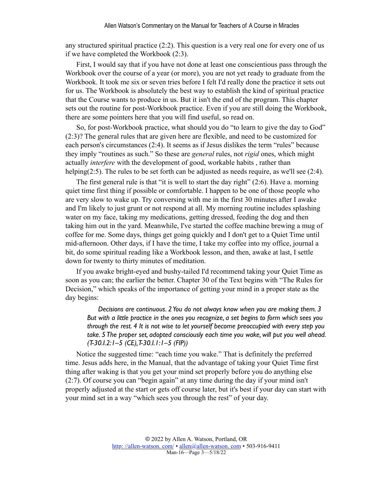any structured spiritual practice (2:2). This question is a very real one for every one of us if we have completed the Workbook (2:3).

First, I would say that if you have not done at least one conscientious pass through the Workbook over the course of a year (or more), you are not yet ready to graduate from the Workbook. It took me six or seven tries before I felt I'd really done the practice it sets out for us. The Workbook is absolutely the best way to establish the kind of spiritual practice that the Course wants to produce in us. But it isn't the end of the program. This chapter sets out the routine for post-Workbook practice. Even if you are still doing the Workbook, there are some pointers here that you will find useful, so read on.

So, for post-Workbook practice, what should you do "to learn to give the day to God" (2:3)? The general rules that are given here are flexible, and need to be customized for each person's circumstances (2:4). It seems as if Jesus dislikes the term "rules" because they imply "routines as such." So these are *general* rules, not *rigid* ones, which might actually *interfere* with the development of good, workable habits , rather than helping(2:5). The rules to be set forth can be adjusted as needs require, as we'll see (2:4).

The first general rule is that "it is well to start the day right" (2:6). Have a. morning quiet time first thing if possible or comfortable. I happen to be one of those people who are very slow to wake up. Try conversing with me in the first 30 minutes after I awake and I'm likely to just grunt or not respond at all. My morning routine includes splashing water on my face, taking my medications, getting dressed, feeding the dog and then taking him out in the yard. Meanwhile, I've started the coffee machine brewing a mug of coffee for me. Some days, things get going quickly and I don't get to a Quiet Time until mid-afternoon. Other days, if I have the time, I take my coffee into my office, journal a bit, do some spiritual reading like a Workbook lesson, and then, awake at last, I settle down for twenty to thirty minutes of meditation.

If you awake bright-eyed and bushy-tailed I'd recommend taking your Quiet Time as soon as you can; the earlier the better. Chapter 30 of the Text begins with "The Rules for Decision," which speaks of the importance of getting your mind in a proper state as the day begins:

*Decisions are continuous. 2 You do not always know when you are making them. 3 But with a little practice in the ones you recognize, a set begins to form which sees you through the rest. 4 It is not wise to let yourself become preoccupied with every step you take. 5 The proper set, adopted consciously each time you wake, will put you well ahead. (T-30.I.2:1–5 (CE), T-30.I.1:1–5 (FIP))*

Notice the suggested time: "each time you wake." That is definitely the preferred time. Jesus adds here, in the Manual, that the advantage of taking your Quiet Time first thing after waking is that you get your mind set properly before you do anything else (2:7). Of course you can "begin again" at any time during the day if your mind isn't properly adjusted at the start or gets off course later, but it's best if your day can start with your mind set in a way "which sees you through the rest" of your day.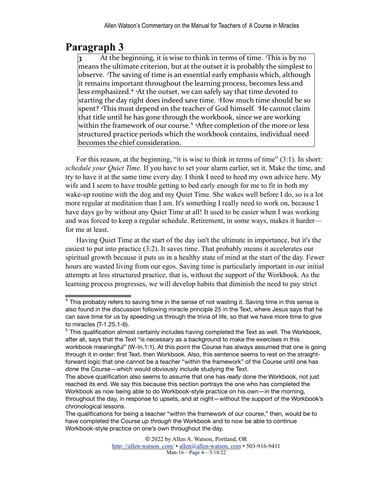<span id="page-3-2"></span>**3** At the beginning, it is wise to think in terms of time. <sup>2</sup>This is by no means the ultimate criterion, but at the outset it is probably the simplest to observe. <sup>*3*The saving of time is an essential early emphasis which, although</sup> it remains important throughout the learning process, becomes less and less emphasized.<sup>4</sup> <sup>4</sup>At the outset, we can safely say that time devoted to starting the day right does indeed save time. <sup>*5*</sup>How much time should be so spent? <sup>*«*This must depend on the teacher of God himself. *7*He cannot claim</sup> that title until he has gone through the workbook, since we are working within the framework of our course.<sup>5</sup> <sup>*s*</sup>After completion of the more or less structured practice periods which the workbook contains, individual need becomes the chief consideration.

<span id="page-3-3"></span>For this reason, at the beginning, "it is wise to think in terms of time" (3:1). In short: *schedule your Quiet Time.* If you have to set your alarm earlier, set it. Make the time, and try to have it at the same time every day. I think I need to heed my own advice here. My wife and I seem to have trouble getting to bed early enough for me to fit in both my wake-up routine with the dog and my Quiet Time. She wakes well before I do, so is a lot more regular at meditation than I am. It's something I really need to work on, because I have days go by without any Quiet Time at all! It used to be easier when I was working and was forced to keep a regular schedule. Retirement, in some ways, makes it harder for me at least.

Having Quiet Time at the start of the day isn't the ultimate in importance, but it's the easiest to put into practice (3:2). It saves time. That probably means it accelerates our spiritual growth because it puts us in a healthy state of mind at the start of the day. Fewer hours are wasted living from our egos. Saving time is particularly important in our initial attempts at less structured practice, that is, without the support of the Workbook. As the learning process progresses, we will develop habits that diminish the need to pay strict

<span id="page-3-0"></span><sup>&</sup>lt;sup>[4.](#page-3-2)</sup> This probably refers to saving time in the sense of not wasting it. Saving time in this sense is also found in the discussion following miracle principle 25 in the Text, where Jesus says that he can save time for us by speeding us through the trivia of life, so that we have more time to give to miracles (T-1.25.1-6).

<span id="page-3-1"></span><sup>&</sup>lt;sup>5</sup>. This qualification almost certainly includes having completed the Text as well. The Workbook, after all, says that the Text "is necessary as a background to make the exercises in this workbook meaningful" (W-In.1:1). At this point the Course has always assumed that one is going through it in order: first Text, then Workbook. Also, this sentence seems to rest on the straight‐ forward logic that one cannot be a teacher "within the framework" of the Course until one has *done* the Course—which would obviously include studying the Text.

The above qualification also seems to assume that one has *really* done the Workbook, not just reached its end. We say this because this section portrays the one who has completed the Workbook as now being able to do Workbook-style practice on his own—in the morning, throughout the day, in response to upsets, and at night—without the support of the Workbook's chronological lessons.

The qualifications for being a teacher "within the framework of our course," then, would be to have completed the Course *up through* the Workbook and to now be able to continue Workbook-style practice on one's own throughout the day.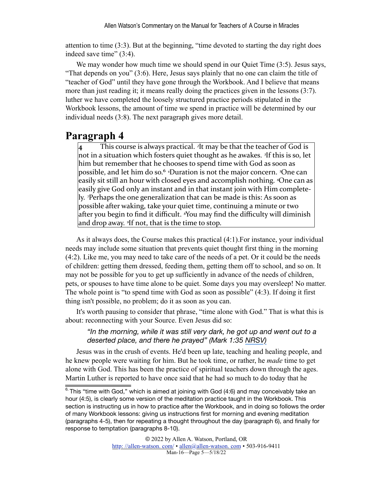attention to time (3:3). But at the beginning, "time devoted to starting the day right does indeed save time" (3:4).

We may wonder how much time we should spend in our Quiet Time (3:5). Jesus says, "That depends on you" (3:6). Here, Jesus says plainly that no one can claim the title of "teacher of God" until they have gone through the Workbook. And I believe that means more than just reading it; it means really doing the practices given in the lessons (3:7). luther we have completed the loosely structured practice periods stipulated in the Workbook lessons, the amount of time we spend in practice will be determined by our individual needs (3:8). The next paragraph gives more detail.

#### **Paragraph 4**

<span id="page-4-1"></span>This course is always practical. <sup>2</sup>It may be that the teacher of God is not in a situation which fosters quiet thought as he awakes. <sup>3</sup>If this is so, let him but remember that he chooses to spend time with God as soon as possible, and let him do so.<sup>6</sup> <sup>*A*</sup>Duration is not the major concern. <sup>*S*</sup>One can easily sit still an hour with closed eyes and accomplish nothing. *One can as* easily give God only an instant and in that instant join with Him completely. *Perhaps* the one generalization that can be made is this: As soon as possible after waking, take your quiet time, continuing a minute or two after you begin to find it difficult. <sup>*N*</sup>ou may find the difficulty will diminish and drop away. <sup>*If*</sup> not, that is the time to stop.

As it always does, the Course makes this practical (4:1).For instance, your individual needs may include some situation that prevents quiet thought first thing in the morning (4:2). Like me, you may need to take care of the needs of a pet. Or it could be the needs of children: getting them dressed, feeding them, getting them off to school, and so on. It may not be possible for you to get up sufficiently in advance of the needs of children, pets, or spouses to have time alone to be quiet. Some days you may oversleep! No matter. The whole point is "to spend time with God as soon as possible" (4:3). If doing it first thing isn't possible, no problem; do it as soon as you can.

It's worth pausing to consider that phrase, "time alone with God." That is what this is about: reconnecting with your Source. Even Jesus did so:

#### *"In the morning, while it was still very dark, he got up and went out to a deserted place, and there he prayed" (Mark 1:35 NRSV)*

Jesus was in the crush of events. He'd been up late, teaching and healing people, and he knew people were waiting for him. But he took time, or rather, he *made* time to get alone with God. This has been the practice of spiritual teachers down through the ages. Martin Luther is reported to have once said that he had so much to do today that he

<span id="page-4-0"></span> $6$ . This "time with God," which is aimed at joining with God (4:6) and may conceivably take an hour (4:5), is clearly some version of the meditation practice taught in the Workbook. This section is instructing us in how to practice after the Workbook, and in doing so follows the order of many Workbook lessons: giving us instructions first for morning and evening meditation (paragraphs 4-5), then for repeating a thought throughout the day (paragraph 6), and finally for response to temptation (paragraphs 8-10).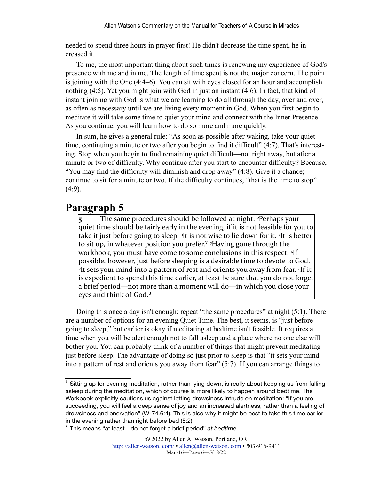needed to spend three hours in prayer first! He didn't decrease the time spent, he increased it.

To me, the most important thing about such times is renewing my experience of God's presence with me and in me. The length of time spent is not the major concern. The point is joining with the One (4:4–6). You can sit with eyes closed for an hour and accomplish nothing (4:5). Yet you might join with God in just an instant (4:6), In fact, that kind of instant joining with God is what we are learning to do all through the day, over and over, as often as necessary until we are living every moment in God. When you first begin to meditate it will take some time to quiet your mind and connect with the Inner Presence. As you continue, you will learn how to do so more and more quickly.

In sum, he gives a general rule: "As soon as possible after waking, take your quiet time, continuing a minute or two after you begin to find it difficult" (4:7). That's interesting. Stop when you begin to find remaining quiet difficult—not right away, but after a minute or two of difficulty. Why continue after you start to encounter difficulty? Because, "You may find the difficulty will diminish and drop away" (4:8). Give it a chance; continue to sit for a minute or two. If the difficulty continues, "that is the time to stop" (4:9).

#### **Paragraph 5**

<span id="page-5-2"></span>**5** The same procedures should be followed at night. <sup>2</sup>Perhaps your quiet time should be fairly early in the evening, if it is not feasible for you to take it just before going to sleep. <sup>3</sup>It is not wise to lie down for it. <sup>4</sup>It is better to sit up, in whatever position you prefer.<sup>7</sup> <sup>5</sup>Having gone through the workbook, you must have come to some conclusions in this respect. <sup>*«If*</sup> possible, however, just before sleeping is a desirable time to devote to God. *<sup>7</sup>It sets your mind into a pattern of rest and orients you away from fear.* <sup>*s*If it</sup> is expedient to spend this time earlier, at least be sure that you do not forget a brief period—not more than a moment will do—in which you close your eyes and think of God. $8$ 

<span id="page-5-3"></span>Doing this once a day isn't enough; repeat "the same procedures" at night (5:1). There are a number of options for an evening Quiet Time. The best, it seems, is "just before going to sleep," but earlier is okay if meditating at bedtime isn't feasible. It requires a time when you will be alert enough not to fall asleep and a place where no one else will bother you. You can probably think of a number of things that might prevent meditating just before sleep. The advantage of doing so just prior to sleep is that "it sets your mind into a pattern of rest and orients you away from fear" (5:7). If you can arrange things to

<span id="page-5-0"></span> $7$ . Sitting up for evening meditation, rather than lying down, is really about keeping us from falling asleep during the meditation, which of course is more likely to happen around bedtime. The Workbook explicitly cautions us against letting drowsiness intrude on meditation: "If you are succeeding, you will feel a deep sense of joy and an increased alertness, rather than a feeling of drowsiness and enervation" (W-74.6:4). This is also why it might be best to take this time earlier in the evening rather than right before bed (5:2).

<span id="page-5-1"></span>[<sup>8.</sup>](#page-5-3) This means "at least…do not forget a brief period" *at bedtime*.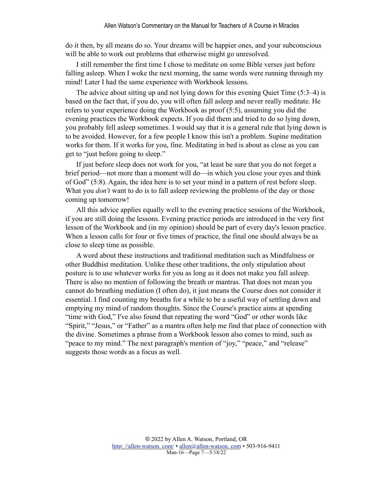do it then, by all means do so. Your dreams will be happier ones, and your subconscious will be able to work out problems that otherwise might go unresolved.

I still remember the first time I chose to meditate on some Bible verses just before falling asleep. When I woke the next morning, the same words were running through my mind! Later I had the same experience with Workbook lessons.

The advice about sitting up and not lying down for this evening Quiet Time (5:3–4) is based on the fact that, if you do, you will often fall asleep and never really meditate. He refers to your experience doing the Workbook as proof (5:5), assuming you did the evening practices the Workbook expects. If you did them and tried to do so lying down, you probably fell asleep sometimes. I would say that it is a general rule that lying down is to be avoided. However, for a few people I know this isn't a problem. Supine meditation works for them. If it works for you, fine. Meditating in bed is about as close as you can get to "just before going to sleep."

If just before sleep does not work for you, "at least be sure that you do not forget a brief period—not more than a moment will do—in which you close your eyes and think of God" (5:8). Again, the idea here is to set your mind in a pattern of rest before sleep. What you *don't* want to do is to fall asleep reviewing the problems of the day or those coming up tomorrow!

All this advice applies equally well to the evening practice sessions of the Workbook, if you are still doing the lessons. Evening practice periods are introduced in the very first lesson of the Workbook and (in my opinion) should be part of every day's lesson practice. When a lesson calls for four or five times of practice, the final one should always be as close to sleep time as possible.

A word about these instructions and traditional meditation such as Mindfulness or other Buddhist meditation. Unlike these other traditions, the only stipulation about posture is to use whatever works for you as long as it does not make you fall asleep. There is also no mention of following the breath or mantras. That does not mean you cannot do breathing mediation (I often do), it just means the Course does not consider it essential. I find counting my breaths for a while to be a useful way of settling down and emptying my mind of random thoughts. Since the Course's practice aims at spending "time with God," I've also found that repeating the word "God" or other words like "Spirit," "Jesus," or "Father" as a mantra often help me find that place of connection with the divine. Sometimes a phrase from a Workbook lesson also comes to mind, such as "peace to my mind." The next paragraph's mention of "joy," "peace," and "release" suggests those words as a focus as well.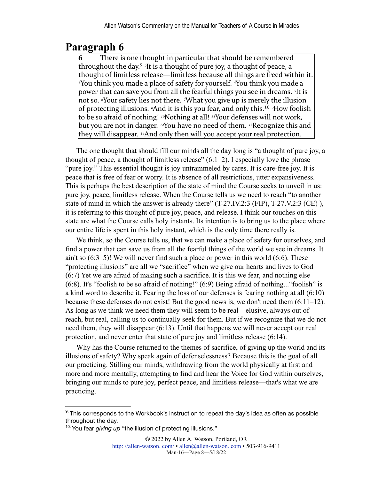<span id="page-7-2"></span>**6** There is one thought in particular that should be remembered throughout the day.<sup>9</sup> <sup>2</sup>It is a thought of pure joy, a thought of peace, a thought of limitless release—limitless because all things are freed within it. *<sup>3</sup>You* think you made a place of safety for yourself. *<sup>4</sup>You* think you made a power that can save you from all the fearful things you see in dreams. <sup>5</sup>It is not so. <sup>*N*</sup>our safety lies not there. <sup>7</sup>What you give up is merely the illusion of protecting illusions. <sup>*§*</sup>And it is this you fear, and only this.<sup>10</sup> <sup>9</sup>How foolish to be so afraid of nothing! <sup>10</sup>Nothing at all! <sup>11</sup>Your defenses will not work, but you are not in danger. <sup>12</sup>You have no need of them. <sup>13</sup>Recognize this and they will disappear. <sup>14</sup>And only then will you accept your real protection.

<span id="page-7-3"></span>The one thought that should fill our minds all the day long is "a thought of pure joy, a thought of peace, a thought of limitless release"  $(6:1-2)$ . I especially love the phrase "pure joy." This essential thought is joy untrammeled by cares. It is care-free joy. It is peace that is free of fear or worry. It is absence of all restrictions, utter expansiveness. This is perhaps the best description of the state of mind the Course seeks to unveil in us: pure joy, peace, limitless release. When the Course tells us we need to reach "to another state of mind in which the answer is already there" (T-27.IV.2:3 (FIP), T-27.V.2:3 (CE) ), it is referring to this thought of pure joy, peace, and release. I think our touches on this state are what the Course calls holy instants. Its intention is to bring us to the place where our entire life is spent in this holy instant, which is the only time there really is.

We think, so the Course tells us, that we can make a place of safety for ourselves, and find a power that can save us from all the fearful things of the world we see in dreams. It ain't so (6:3–5)! We will never find such a place or power in this world (6:6). These "protecting illusions" are all we "sacrifice" when we give our hearts and lives to God (6:7) Yet we are afraid of making such a sacrifice. It is this we fear, and nothing else (6:8). It's "foolish to be so afraid of nothing!" (6:9) Being afraid of nothing..."foolish" is a kind word to describe it. Fearing the loss of our defenses is fearing nothing at all (6:10) because these defenses do not exist! But the good news is, we don't need them (6:11–12). As long as we think we need them they will seem to be real—elusive, always out of reach, but real, calling us to continually seek for them. But if we recognize that we do not need them, they will disappear (6:13). Until that happens we will never accept our real protection, and never enter that state of pure joy and limitless release (6:14).

Why has the Course returned to the themes of sacrifice, of giving up the world and its illusions of safety? Why speak again of defenselessness? Because this is the goal of all our practicing. Stilling our minds, withdrawing from the world physically at first and more and more mentally, attempting to find and hear the Voice for God within ourselves, bringing our minds to pure joy, perfect peace, and limitless release—that's what we are practicing.

<span id="page-7-0"></span> $9.$  This corresponds to the Workbook's instruction to repeat the day's idea as often as possible throughout the day.

<span id="page-7-1"></span><sup>&</sup>lt;sup>[10.](#page-7-3)</sup> You fear *giving up* "the illusion of protecting illusions."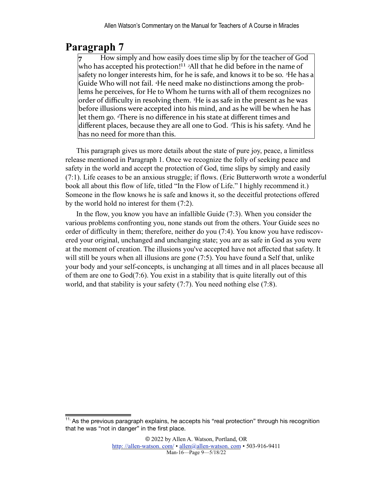<span id="page-8-1"></span>How simply and how easily does time slip by for the teacher of God who has accepted his protection!<sup>11</sup> <sup>2</sup>All that he did before in the name of safety no longer interests him, for he is safe, and knows it to be so. <sup>3</sup>He has a Guide Who will not fail. <sup>4</sup>He need make no distinctions among the problems he perceives, for He to Whom he turns with all of them recognizes no order of difficulty in resolving them. <sup>5</sup>He is as safe in the present as he was before illusions were accepted into his mind, and as he will be when he has let them go. *There* is no difference in his state at different times and different places, because they are all one to God. <sup>7</sup>This is his safety. <sup>*8*</sup>And he has no need for more than this.

This paragraph gives us more details about the state of pure joy, peace, a limitless release mentioned in Paragraph 1. Once we recognize the folly of seeking peace and safety in the world and accept the protection of God, time slips by simply and easily (7:1). Life ceases to be an anxious struggle; if flows. (Eric Butterworth wrote a wonderful book all about this flow of life, titled "In the Flow of Life." I highly recommend it.) Someone in the flow knows he is safe and knows it, so the deceitful protections offered by the world hold no interest for them (7:2).

In the flow, you know you have an infallible Guide (7:3). When you consider the various problems confronting you, none stands out from the others. Your Guide sees no order of difficulty in them; therefore, neither do you (7:4). You know you have rediscovered your original, unchanged and unchanging state; you are as safe in God as you were at the moment of creation. The illusions you've accepted have not affected that safety. It will still be yours when all illusions are gone (7:5). You have found a Self that, unlike your body and your self-concepts, is unchanging at all times and in all places because all of them are one to God(7:6). You exist in a stability that is quite literally out of this world, and that stability is your safety (7:7). You need nothing else (7:8).

<span id="page-8-0"></span><sup>&</sup>lt;sup>[11.](#page-8-1)</sup> As the previous paragraph explains, he accepts his "real protection" through his recognition that he was "not in danger" in the first place.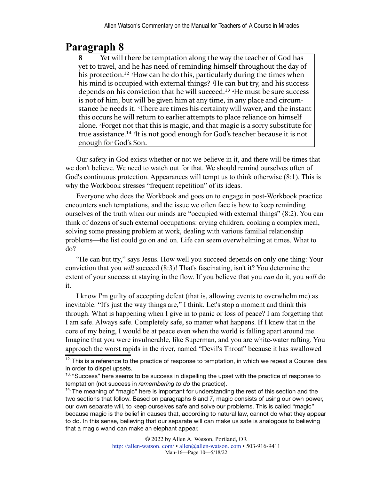<span id="page-9-4"></span><span id="page-9-3"></span>Yet will there be temptation along the way the teacher of God has  $\gamma$ et to travel, and he has need of reminding himself throughout the day of his protection.<sup>12</sup> <sup>2</sup>How can he do this, particularly during the times when his mind is occupied with external things? <sup>3</sup>He can but try, and his success depends on his conviction that he will succeed.<sup>13</sup> <sup>4</sup>He must be sure success is not of him, but will be given him at any time, in any place and circumstance he needs it. <sup>*s*There are times his certainty will waver, and the instant</sup> this occurs he will return to earlier attempts to place reliance on himself alone. <sup>*«*Forget not that this is magic, and that magic is a sorry substitute for</sup> true assistance.<sup>14</sup> <sup>7</sup>It is not good enough for God's teacher because it is not enough for God's Son.

<span id="page-9-5"></span>Our safety in God exists whether or not we believe in it, and there will be times that we don't believe. We need to watch out for that. We should remind ourselves often of God's continuous protection. Appearances will tempt us to think otherwise (8:1). This is why the Workbook stresses "frequent repetition" of its ideas.

Everyone who does the Workbook and goes on to engage in post-Workbook practice encounters such temptations, and the issue we often face is how to keep reminding ourselves of the truth when our minds are "occupied with external things" (8:2). You can think of dozens of such external occupations: crying children, cooking a complex meal, solving some pressing problem at work, dealing with various familial relationship problems—the list could go on and on. Life can seem overwhelming at times. What to do?

"He can but try," says Jesus. How well you succeed depends on only one thing: Your conviction that you *will* succeed (8:3)! That's fascinating, isn't it? You determine the extent of your success at staying in the flow. If you believe that you *can* do it, you *will* do it.

I know I'm guilty of accepting defeat (that is, allowing events to overwhelm me) as inevitable. "It's just the way things are," I think. Let's stop a moment and think this through. What is happening when I give in to panic or loss of peace? I am forgetting that I am safe. Always safe. Completely safe, so matter what happens. If I knew that in the core of my being, I would be at peace even when the world is falling apart around me. Imagine that you were invulnerable, like Superman, and you are white-water rafting. You approach the worst rapids in the river, named "Devil's Throat" because it has swallowed

<span id="page-9-0"></span> $12$ . This is a reference to the practice of response to temptation, in which we repeat a Course idea in order to dispel upsets.

<span id="page-9-1"></span><sup>&</sup>lt;sup>[13.](#page-9-4)</sup> "Success" here seems to be success in dispelling the upset with the practice of response to temptation (not success in *remembering to do* the practice).

<span id="page-9-2"></span> $14$ . The meaning of "magic" here is important for understanding the rest of this section and the two sections that follow. Based on paragraphs 6 and 7, magic consists of using our own power, our own separate will, to keep ourselves safe and solve our problems. This is called "magic" because magic is the belief in causes that, according to natural law, cannot do what they appear to do. In this sense, believing that our separate will can make us safe is analogous to believing that a magic wand can make an elephant appear.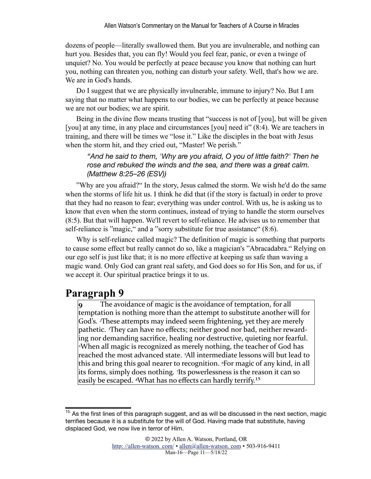dozens of people—literally swallowed them. But you are invulnerable, and nothing can hurt you. Besides that, you can fly! Would you feel fear, panic, or even a twinge of unquiet? No. You would be perfectly at peace because you know that nothing can hurt you, nothing can threaten you, nothing can disturb your safety. Well, that's how we are. We are in God's hands.

Do I suggest that we are physically invulnerable, immune to injury? No. But I am saying that no matter what happens to our bodies, we can be perfectly at peace because we are not our bodies; we are spirit.

Being in the divine flow means trusting that "success is not of [you], but will be given [you] at any time, in any place and circumstances [you] need it" (8:4). We are teachers in training, and there will be times we "lose it." Like the disciples in the boat with Jesus when the storm hit, and they cried out, "Master! We perish."

*"And he said to them, 'Why are you afraid, O you of little faith?' Then he rose and rebuked the winds and the sea, and there was a great calm. (Matthew 8:25–26 (ESV))*

"Why are you afraid?" In the story, Jesus calmed the storm. We wish he'd do the same when the storms of life hit us. I think he did that (if the story is factual) in order to prove that they had no reason to fear; everything was under control. With us, he is asking us to know that even when the storm continues, instead of trying to handle the storm ourselves (8:5). But that will happen. We'll revert to self-reliance. He advises us to remember that self-reliance is "magic," and a "sorry substitute for true assistance" (8:6).

Why is self-reliance called magic? The definition of magic is something that purports to cause some effect but really cannot do so, like a magician's "Abracadabra." Relying on our ego self is just like that; it is no more effective at keeping us safe than waving a magic wand. Only God can grant real safety, and God does so for His Son, and for us, if we accept it. Our spiritual practice brings it to us.

#### **Paragraph 9**

**9** The avoidance of magic is the avoidance of temptation, for all temptation is nothing more than the attempt to substitute another will for God's. <sup>2</sup>These attempts may indeed seem frightening, yet they are merely pathetic. <sup>*s*They can have no effects; neither good nor bad, neither reward-</sup> ing nor demanding sacrifice, healing nor destructive, quieting nor fearful. *<sup>4</sup>When all magic is recognized as merely nothing, the teacher of God has* reached the most advanced state. <sup>*5*</sup>All intermediate lessons will but lead to this and bring this goal nearer to recognition. *<sup>6</sup>For magic* of any kind, in all its forms, simply does nothing. <sup>7</sup>Its powerlessness is the reason it can so easily be escaped. <sup>*§*</sup>What has no effects can hardly terrify.<sup>15</sup>

<span id="page-10-1"></span><span id="page-10-0"></span><sup>&</sup>lt;sup>[15.](#page-10-1)</sup> As the first lines of this paragraph suggest, and as will be discussed in the next section, magic terrifies because it is a substitute for the will of God. Having made that substitute, having displaced God, we now live in terror of Him.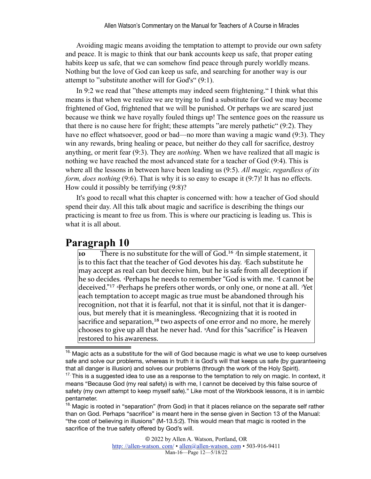Avoiding magic means avoiding the temptation to attempt to provide our own safety and peace. It is magic to think that our bank accounts keep us safe, that proper eating habits keep us safe, that we can somehow find peace through purely worldly means. Nothing but the love of God can keep us safe, and searching for another way is our attempt to "substitute another will for God's" (9:1).

In 9:2 we read that "these attempts may indeed seem frightening." I think what this means is that when we realize we are trying to find a substitute for God we may become frightened of God, frightened that we will be punished. Or perhaps we are scared just because we think we have royally fouled things up! The sentence goes on the reassure us that there is no cause here for fright; these attempts "are merely pathetic" (9:2). They have no effect whatsoever, good or bad—no more than waving a magic wand (9:3). They win any rewards, bring healing or peace, but neither do they call for sacrifice, destroy anything, or merit fear (9:3). They are *nothing*. When we have realized that all magic is nothing we have reached the most advanced state for a teacher of God (9:4). This is where all the lessons in between have been leading us (9:5). *All magic, regardless of its form, does nothing* (9:6). That is why it is so easy to escape it (9:7)! It has no effects. How could it possibly be terrifying (9:8)?

It's good to recall what this chapter is concerned with: how a teacher of God should spend their day. All this talk about magic and sacrifice is describing the things our practicing is meant to free us from. This is where our practicing is leading us. This is what it is all about.

#### <span id="page-11-3"></span>**Paragraph 10**

<span id="page-11-4"></span>**10** There is no substitute for the will of God.<sup>16</sup> <sup>2</sup>In simple statement, it is to this fact that the teacher of God devotes his day. <sup>3</sup>Each substitute he  $\parallel$ may accept as real can but deceive him, but he is safe from all deception if he so decides. <sup>4</sup>Perhaps he needs to remember "God is with me. <sup>5</sup>I cannot be deceived."<sup>17</sup> <sup>*s*</sup>Perhaps he prefers other words, or only one, or none at all. <sup>7</sup>Yet each temptation to accept magic as true must be abandoned through his recognition, not that it is fearful, not that it is sinful, not that it is dangerous, but merely that it is meaningless. <sup>*s*</sup>Recognizing that it is rooted in sacrifice and separation,<sup>18</sup> two aspects of one error and no more, he merely chooses to give up all that he never had. <sup>9</sup>And for this "sacrifice" is Heaven restored to his awareness.

<span id="page-11-5"></span><span id="page-11-0"></span><sup>&</sup>lt;sup>[16.](#page-11-3)</sup> Magic acts as a substitute for the will of God because magic is what we use to keep ourselves safe and solve our problems, whereas in truth it is God's will that keeps us safe (by guaranteeing that all danger is illusion) and solves our problems (through the work of the Holy Spirit).

<span id="page-11-1"></span> $17.$  This is a suggested idea to use as a response to the temptation to rely on magic. In context, it means "Because God (my real safety) is with me, I cannot be deceived by this false source of safety (my own attempt to keep myself safe)." Like most of the Workbook lessons, it is in iambic pentameter.

<span id="page-11-2"></span><sup>&</sup>lt;sup>[18.](#page-11-5)</sup> Magic is rooted in "separation" (from God) in that it places reliance on the separate self rather than on God. Perhaps "sacrifice" is meant here in the sense given in Section 13 of the Manual: "the cost of believing in illusions" (M-13.5:2). This would mean that magic is rooted in the sacrifice of the true safety offered by God's will.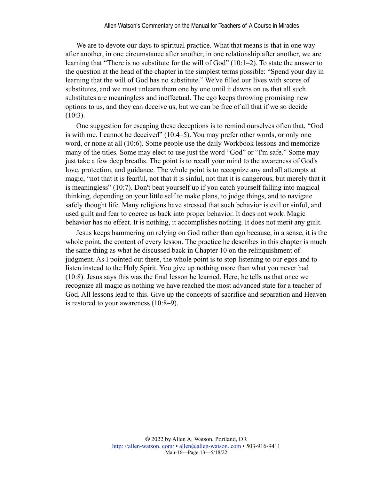We are to devote our days to spiritual practice. What that means is that in one way after another, in one circumstance after another, in one relationship after another, we are learning that "There is no substitute for the will of God" (10:1–2). To state the answer to the question at the head of the chapter in the simplest terms possible: "Spend your day in learning that the will of God has no substitute." We've filled our lives with scores of substitutes, and we must unlearn them one by one until it dawns on us that all such substitutes are meaningless and ineffectual. The ego keeps throwing promising new options to us, and they can deceive us, but we can be free of all that if we so decide  $(10:3)$ .

One suggestion for escaping these deceptions is to remind ourselves often that, "God is with me. I cannot be deceived" (10:4–5). You may prefer other words, or only one word, or none at all (10:6). Some people use the daily Workbook lessons and memorize many of the titles. Some may elect to use just the word "God" or "I'm safe." Some may just take a few deep breaths. The point is to recall your mind to the awareness of God's love, protection, and guidance. The whole point is to recognize any and all attempts at magic, "not that it is fearful, not that it is sinful, not that it is dangerous, but merely that it is meaningless" (10:7). Don't beat yourself up if you catch yourself falling into magical thinking, depending on your little self to make plans, to judge things, and to navigate safely thought life. Many religions have stressed that such behavior is evil or sinful, and used guilt and fear to coerce us back into proper behavior. It does not work. Magic behavior has no effect. It is nothing, it accomplishes nothing. It does not merit any guilt.

Jesus keeps hammering on relying on God rather than ego because, in a sense, it is the whole point, the content of every lesson. The practice he describes in this chapter is much the same thing as what he discussed back in Chapter 10 on the relinquishment of judgment. As I pointed out there, the whole point is to stop listening to our egos and to listen instead to the Holy Spirit. You give up nothing more than what you never had (10:8). Jesus says this was the final lesson he learned. Here, he tells us that once we recognize all magic as nothing we have reached the most advanced state for a teacher of God. All lessons lead to this. Give up the concepts of sacrifice and separation and Heaven is restored to your awareness (10:8–9).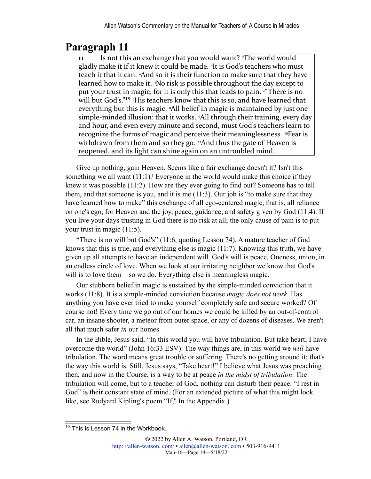<span id="page-13-1"></span>**11** Is not this an exchange that you would want? <sup>2</sup>The world would gladly make it if it knew it could be made. <sup>3</sup>It is God's teachers who must teach it that it can. <sup>4</sup>And so it is their function to make sure that they have learned how to make it. <sup>*s*No risk is possible throughout the day except to</sup> put your trust in magic, for it is only this that leads to pain. <sup>«</sup>There is no will but God's."<sup>19</sup> <sup>7</sup>His teachers know that this is so, and have learned that everything but this is magic. <sup>*All* belief in magic is maintained by just one</sup> simple-minded illusion: that it works. <sup>*A*</sup>ll through their training, every day and hour, and even every minute and second, must God's teachers learn to recognize the forms of magic and perceive their meaninglessness. <sup>10</sup>Fear is withdrawn from them and so they go. <sup>11</sup>And thus the gate of Heaven is reopened, and its light can shine again on an untroubled mind.

Give up nothing, gain Heaven. Seems like a fair exchange doesn't it? Isn't this something we all want (11:1)? Everyone in the world would make this choice if they knew it was possible (11:2). How are they ever going to find out? Someone has to tell them, and that someone is you, and it is me (11:3). Our job is "to make sure that they have learned how to make" this exchange of all ego-centered magic, that is, all reliance on one's ego, for Heaven and the joy, peace, guidance, and safety given by God (11:4). If you live your days trusting in God there is no risk at all; the only cause of pain is to put your trust in magic (11:5).

"There is no will but God's" (11:6, quoting Lesson 74). A mature teacher of God knows that this is true, and everything else is magic (11:7). Knowing this truth, we have given up all attempts to have an independent will. God's will is peace, Oneness, union, in an endless circle of love. When we look at our irritating neighbor we know that God's will is to love them—so we do. Everything else is meaningless magic.

Our stubborn belief in magic is sustained by the simple-minded conviction that it works (11:8). It is a simple-minded conviction because *magic does not work*. Has anything you have ever tried to make yourself completely safe and secure worked? Of course not! Every time we go out of our homes we could be killed by an out-of-control car, an insane shooter, a meteor from outer space, or any of dozens of diseases. We aren't all that much safer *in* our homes.

In the Bible, Jesus said, "In this world you will have tribulation. But take heart; I have overcome the world" (John 16:33 ESV). The way things are, in this world we *will* have tribulation. The word means great trouble or suffering. There's no getting around it; that's the way this world is. Still, Jesus says, "Take heart!" I believe what Jesus was preaching then, and now in the Course, is a way to be at peace *in the midst of tribulation*. The tribulation will come, but to a teacher of God, nothing can disturb their peace. "I rest in God" is their constant state of mind. (For an extended picture of what this might look like, see Rudyard Kipling's poem "If,'' In the Appendix.)

<span id="page-13-0"></span> $\overline{19}$ . This is Lesson 74 in the Workbook.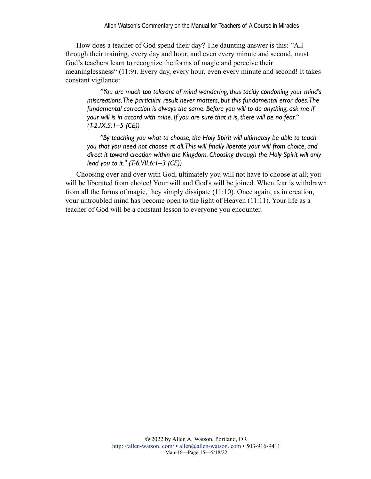How does a teacher of God spend their day? The daunting answer is this: "All through their training, every day and hour, and even every minute and second, must God's teachers learn to recognize the forms of magic and perceive their meaninglessness" (11:9). Every day, every hour, even every minute and second! It takes constant vigilance:

*"You are much too tolerant of mind wandering, thus tacitly condoning your mind's miscreations. The particular result never matters, but this fundamental error does. The*  fundamental correction is always the same. Before you will to do anything, ask me if *your will is in accord with mine. If you are sure that it is, there will be no fear." (T-2.IX.5:1–5 (CE))*

*"By teaching you what to choose, the Holy Spirit will ultimately be able to teach you that you need not choose at all. This will finally liberate your will from choice, and direct it toward creation within the Kingdom. Choosing through the Holy Spirit will only lead you to it." (T-6.VII.6:1–3 (CE))*

Choosing over and over with God, ultimately you will not have to choose at all; you will be liberated from choice! Your will and God's will be joined. When fear is withdrawn from all the forms of magic, they simply dissipate (11:10). Once again, as in creation, your untroubled mind has become open to the light of Heaven (11:11). Your life as a teacher of God will be a constant lesson to everyone you encounter.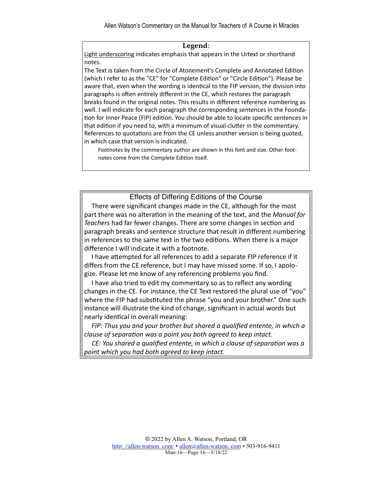#### **Legend**:

Light underscoring indicates emphasis that appears in the Urtext or shorthand notes.

The Text is taken from the Circle of Atonement's Complete and Annotated Edition (which I refer to as the "CE" for "Complete Edition" or "Circle Edition"). Please be aware that, even when the wording is identical to the FIP version, the division into paragraphs is often entirely different in the CE, which restores the paragraph breaks found in the original notes. This results in different reference numbering as well. I will indicate for each paragraph the corresponding sentences in the Foundation for Inner Peace (FIP) edition. You should be able to locate specific sentences in that edition if you need to, with a minimum of visual clutter in the commentary. References to quotations are from the CE unless another version is being quoted, in which case that version is indicated.

Footnotes by the commentary author are shown in this font and size. Other footnotes come from the Complete Edition itself.

#### Effects of Differing Editions of the Course

There were significant changes made in the CE, although for the most part there was no alteration in the meaning of the text, and the *Manual for Teachers* had far fewer changes. There are some changes in section and paragraph breaks and sentence structure that result in different numbering in references to the same text in the two editions. When there is a major difference I will indicate it with a footnote.

I have attempted for all references to add a separate FIP reference if it differs from the CE reference, but I may have missed some. If so, I apologize. Please let me know of any referencing problems you find.

I have also tried to edit my commentary so as to reflect any wording changes in the CE. For instance, the CE Text restored the plural use of "you" where the FIP had substituted the phrase "you and your brother." One such instance will illustrate the kind of change, significant in actual words but nearly identical in overall meaning:

FIP: Thus you and your brother but shared a qualified entente, in which a *clause* of separation was a point you both agreed to keep intact.

*CE:* You shared a qualified entente, in which a clause of separation was a *point which you had both agreed to keep intact.*